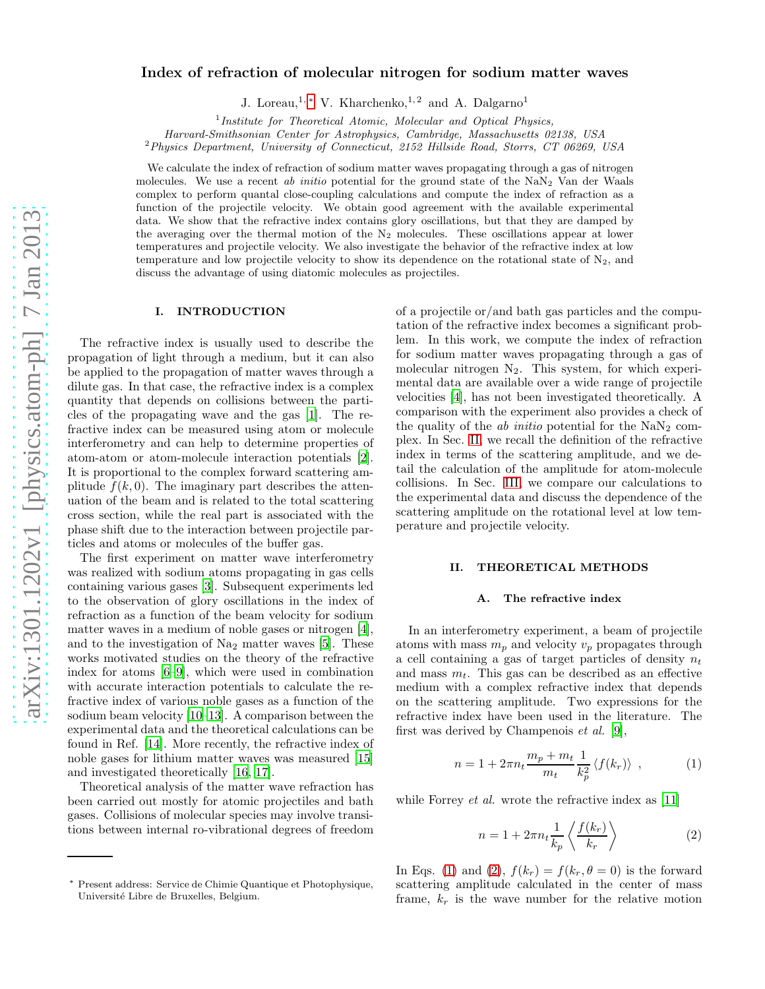# Index of refraction of molecular nitrogen for sodium matter waves

J. Loreau,<sup>1,\*</sup> V. Kharchenko,<sup>1,2</sup> and A. Dalgarno<sup>1</sup>

1 *Institute for Theoretical Atomic, Molecular and Optical Physics,*

*Harvard-Smithsonian Center for Astrophysics, Cambridge, Massachusetts 02138, USA*

<sup>2</sup>*Physics Department, University of Connecticut, 2152 Hillside Road, Storrs, CT 06269, USA*

We calculate the index of refraction of sodium matter waves propagating through a gas of nitrogen molecules. We use a recent *ab initio* potential for the ground state of the  $NaN<sub>2</sub>$  Van der Waals complex to perform quantal close-coupling calculations and compute the index of refraction as a function of the projectile velocity. We obtain good agreement with the available experimental data. We show that the refractive index contains glory oscillations, but that they are damped by the averaging over the thermal motion of the  $N_2$  molecules. These oscillations appear at lower temperatures and projectile velocity. We also investigate the behavior of the refractive index at low temperature and low projectile velocity to show its dependence on the rotational state of  $N_2$ , and discuss the advantage of using diatomic molecules as projectiles.

## I. INTRODUCTION

The refractive index is usually used to describe the propagation of light through a medium, but it can also be applied to the propagation of matter waves through a dilute gas. In that case, the refractive index is a complex quantity that depends on collisions between the particles of the propagating wave and the gas [\[1](#page-4-0)]. The refractive index can be measured using atom or molecule interferometry and can help to determine properties of atom-atom or atom-molecule interaction potentials [\[2\]](#page-4-1). It is proportional to the complex forward scattering amplitude  $f(k, 0)$ . The imaginary part describes the attenuation of the beam and is related to the total scattering cross section, while the real part is associated with the phase shift due to the interaction between projectile particles and atoms or molecules of the buffer gas.

The first experiment on matter wave interferometry was realized with sodium atoms propagating in gas cells containing various gases [\[3\]](#page-4-2). Subsequent experiments led to the observation of glory oscillations in the index of refraction as a function of the beam velocity for sodium matter waves in a medium of noble gases or nitrogen [\[4\]](#page-5-0), and to the investigation of  $Na<sub>2</sub>$  matter waves [\[5](#page-5-1)]. These works motivated studies on the theory of the refractive index for atoms [\[6](#page-5-2)[–9](#page-5-3)], which were used in combination with accurate interaction potentials to calculate the refractive index of various noble gases as a function of the sodium beam velocity [\[10](#page-5-4)[–13\]](#page-5-5). A comparison between the experimental data and the theoretical calculations can be found in Ref. [\[14](#page-5-6)]. More recently, the refractive index of noble gases for lithium matter waves was measured [\[15](#page-5-7)] and investigated theoretically [\[16,](#page-5-8) [17\]](#page-5-9).

Theoretical analysis of the matter wave refraction has been carried out mostly for atomic projectiles and bath gases. Collisions of molecular species may involve transitions between internal ro-vibrational degrees of freedom of a projectile or/and bath gas particles and the computation of the refractive index becomes a significant problem. In this work, we compute the index of refraction for sodium matter waves propagating through a gas of molecular nitrogen  $N_2$ . This system, for which experimental data are available over a wide range of projectile velocities [\[4](#page-5-0)], has not been investigated theoretically. A comparison with the experiment also provides a check of the quality of the  $ab$  initio potential for the  $NaN<sub>2</sub>$  complex. In Sec. [II,](#page-0-1) we recall the definition of the refractive index in terms of the scattering amplitude, and we detail the calculation of the amplitude for atom-molecule collisions. In Sec. [III,](#page-2-0) we compare our calculations to the experimental data and discuss the dependence of the scattering amplitude on the rotational level at low temperature and projectile velocity.

## <span id="page-0-1"></span>II. THEORETICAL METHODS

## A. The refractive index

In an interferometry experiment, a beam of projectile atoms with mass  $m_p$  and velocity  $v_p$  propagates through a cell containing a gas of target particles of density  $n_t$ and mass  $m_t$ . This gas can be described as an effective medium with a complex refractive index that depends on the scattering amplitude. Two expressions for the refractive index have been used in the literature. The first was derived by Champenois et al. [\[9\]](#page-5-3),

<span id="page-0-2"></span>
$$
n = 1 + 2\pi n_t \frac{m_p + m_t}{m_t} \frac{1}{k_p^2} \langle f(k_r) \rangle , \qquad (1)
$$

while Forrey *et al.* wrote the refractive index as [\[11\]](#page-5-10)

<span id="page-0-3"></span>
$$
n = 1 + 2\pi n_t \frac{1}{k_p} \left\langle \frac{f(k_r)}{k_r} \right\rangle \tag{2}
$$

In Eqs. [\(1\)](#page-0-2) and [\(2\)](#page-0-3),  $f(k_r) = f(k_r, \theta = 0)$  is the forward scattering amplitude calculated in the center of mass frame,  $k_r$  is the wave number for the relative motion

<span id="page-0-0"></span><sup>∗</sup> Present address: Service de Chimie Quantique et Photophysique, Université Libre de Bruxelles, Belgium.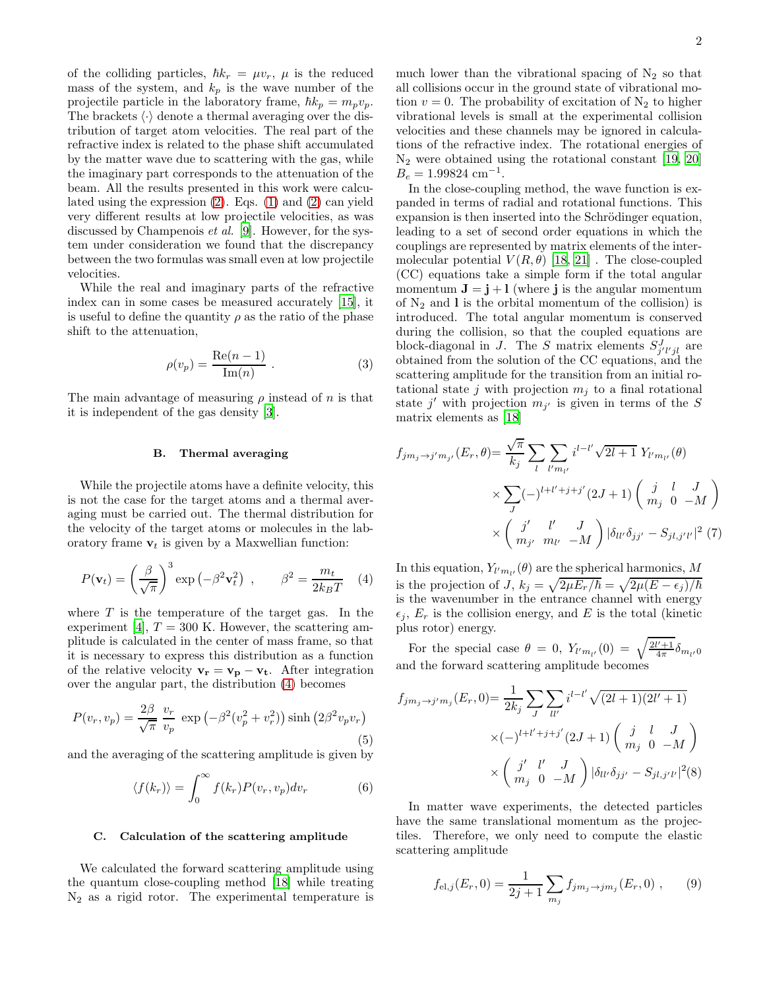of the colliding particles,  $\hbar k_r = \mu v_r$ ,  $\mu$  is the reduced mass of the system, and  $k_p$  is the wave number of the projectile particle in the laboratory frame,  $\hbar k_p = m_p v_p$ . The brackets  $\langle \cdot \rangle$  denote a thermal averaging over the distribution of target atom velocities. The real part of the refractive index is related to the phase shift accumulated by the matter wave due to scattering with the gas, while the imaginary part corresponds to the attenuation of the beam. All the results presented in this work were calculated using the expression [\(2\)](#page-0-3). Eqs. [\(1\)](#page-0-2) and [\(2\)](#page-0-3) can yield very different results at low projectile velocities, as was discussed by Champenois et al. [\[9](#page-5-3)]. However, for the system under consideration we found that the discrepancy between the two formulas was small even at low projectile velocities.

While the real and imaginary parts of the refractive index can in some cases be measured accurately [\[15\]](#page-5-7), it is useful to define the quantity  $\rho$  as the ratio of the phase shift to the attenuation,

<span id="page-1-2"></span>
$$
\rho(v_p) = \frac{\text{Re}(n-1)}{\text{Im}(n)}\ .
$$
\n(3)

The main advantage of measuring  $\rho$  instead of n is that it is independent of the gas density [\[3](#page-4-2)].

# B. Thermal averaging

While the projectile atoms have a definite velocity, this is not the case for the target atoms and a thermal averaging must be carried out. The thermal distribution for the velocity of the target atoms or molecules in the laboratory frame  $v_t$  is given by a Maxwellian function:

<span id="page-1-0"></span>
$$
P(\mathbf{v}_t) = \left(\frac{\beta}{\sqrt{\pi}}\right)^3 \exp\left(-\beta^2 \mathbf{v}_t^2\right) , \qquad \beta^2 = \frac{m_t}{2k_B T} \quad (4)
$$

where  $T$  is the temperature of the target gas. In the experiment [\[4\]](#page-5-0),  $T = 300$  K. However, the scattering amplitude is calculated in the center of mass frame, so that it is necessary to express this distribution as a function of the relative velocity  $\mathbf{v}_r = \mathbf{v}_p - \mathbf{v}_t$ . After integration over the angular part, the distribution [\(4\)](#page-1-0) becomes

<span id="page-1-3"></span>
$$
P(v_r, v_p) = \frac{2\beta}{\sqrt{\pi}} \frac{v_r}{v_p} \exp\left(-\beta^2 (v_p^2 + v_r^2)\right) \sinh\left(2\beta^2 v_p v_r\right)
$$
\n(5)

and the averaging of the scattering amplitude is given by

$$
\langle f(k_r) \rangle = \int_0^\infty f(k_r) P(v_r, v_p) dv_r \tag{6}
$$

# C. Calculation of the scattering amplitude

We calculated the forward scattering amplitude using the quantum close-coupling method [\[18\]](#page-5-11) while treating  $N_2$  as a rigid rotor. The experimental temperature is

much lower than the vibrational spacing of  $N_2$  so that all collisions occur in the ground state of vibrational motion  $v = 0$ . The probability of excitation of N<sub>2</sub> to higher vibrational levels is small at the experimental collision velocities and these channels may be ignored in calculations of the refractive index. The rotational energies of N<sup>2</sup> were obtained using the rotational constant [\[19,](#page-5-12) [20](#page-5-13)]  $\overline{B_e} = 1.99824 \text{ cm}^{-1}.$ 

In the close-coupling method, the wave function is expanded in terms of radial and rotational functions. This expansion is then inserted into the Schrödinger equation, leading to a set of second order equations in which the couplings are represented by matrix elements of the intermolecular potential  $V(R, \theta)$  [\[18,](#page-5-11) [21](#page-5-14)]. The close-coupled (CC) equations take a simple form if the total angular momentum  $J = j + l$  (where j is the angular momentum of  $N_2$  and I is the orbital momentum of the collision) is introduced. The total angular momentum is conserved during the collision, so that the coupled equations are block-diagonal in J. The S matrix elements  $S_{j'l'jl}^{J}$  are obtained from the solution of the CC equations, and the scattering amplitude for the transition from an initial rotational state j with projection  $m_j$  to a final rotational state j' with projection  $m_{j'}$  is given in terms of the S matrix elements as [\[18](#page-5-11)]

$$
f_{jm_j \to j'm_{j'}}(E_r, \theta) = \frac{\sqrt{\pi}}{k_j} \sum_{l} \sum_{l'm_{l'}} i^{l-l'} \sqrt{2l+1} Y_{l'm_{l'}}(\theta)
$$
  
 
$$
\times \sum_{J} (-)^{l+l'+j+j'} (2J+1) \begin{pmatrix} j & l & J \\ m_j & 0 & -M \end{pmatrix}
$$
  
 
$$
\times \begin{pmatrix} j' & l' & J \\ m_{j'} & m_{l'} & -M \end{pmatrix} |\delta_{ll'} \delta_{jj'} - S_{jl,j'l'}|^2 (7)
$$

In this equation,  $Y_{l'm_{l'}}(\theta)$  are the spherical harmonics, M is the projection of  $J$ ,  $k_j = \sqrt{2\mu E_r/\hbar} = \sqrt{2\mu (E - \epsilon_j)/\hbar}$ is the wavenumber in the entrance channel with energy  $\epsilon_j$ ,  $E_r$  is the collision energy, and E is the total (kinetic plus rotor) energy.

For the special case  $\theta = 0$ ,  $Y_{l'm_{l'}}(0) = \sqrt{\frac{2l'+1}{4\pi}} \delta_{m_{l'}}(0)$ and the forward scattering amplitude becomes

<span id="page-1-1"></span>
$$
f_{jm_j \to j'm_j}(E_r, 0) = \frac{1}{2k_j} \sum_{J} \sum_{ll'} i^{l-l'} \sqrt{(2l+1)(2l'+1)}
$$
  
 
$$
\times (-)^{l+l'+j+j'} (2J+1) \begin{pmatrix} j & l & J \\ m_j & 0 & -M \end{pmatrix}
$$
  
 
$$
\times \begin{pmatrix} j' & l' & J \\ m_j & 0 & -M \end{pmatrix} |\delta_{ll'} \delta_{jj'} - S_{jl,j'l'}|^2(8)
$$

In matter wave experiments, the detected particles have the same translational momentum as the projectiles. Therefore, we only need to compute the elastic scattering amplitude

$$
f_{\text{el},j}(E_r, 0) = \frac{1}{2j+1} \sum_{m_j} f_{j m_j \to j m_j}(E_r, 0) ,\qquad (9)
$$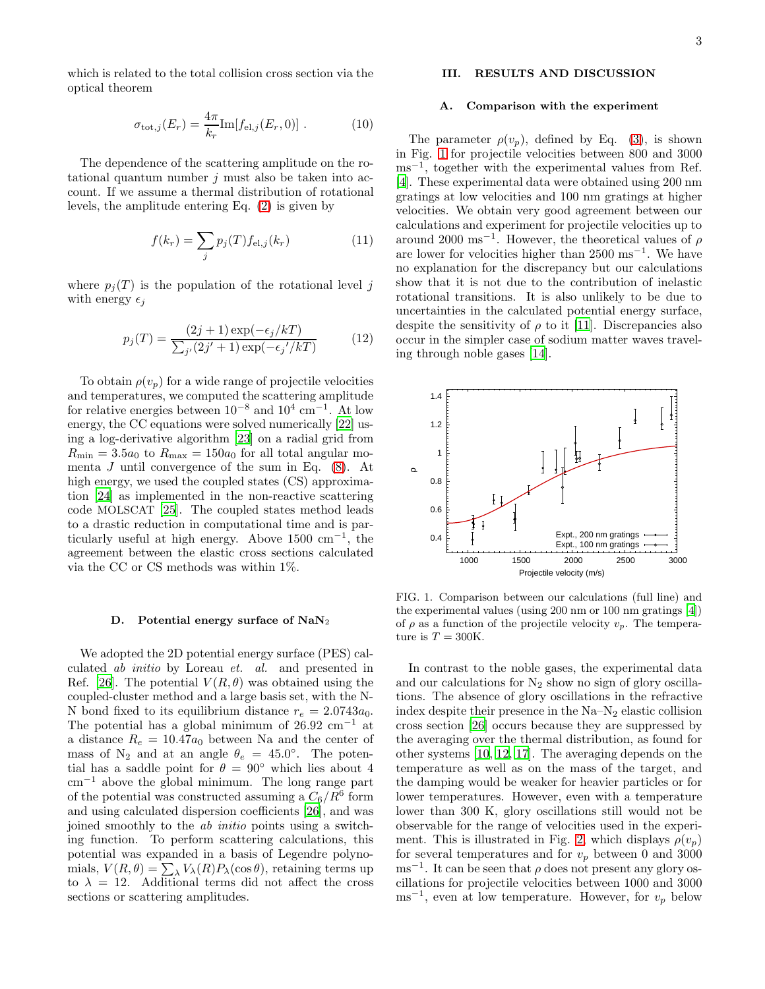which is related to the total collision cross section via the optical theorem

$$
\sigma_{\text{tot},j}(E_r) = \frac{4\pi}{k_r} \text{Im}[f_{\text{el},j}(E_r, 0)] . \qquad (10)
$$

The dependence of the scattering amplitude on the rotational quantum number  $j$  must also be taken into account. If we assume a thermal distribution of rotational levels, the amplitude entering Eq. [\(2\)](#page-0-3) is given by

<span id="page-2-2"></span>
$$
f(k_r) = \sum_{j} p_j(T) f_{\text{el},j}(k_r)
$$
 (11)

where  $p_i(T)$  is the population of the rotational level j with energy  $\epsilon_i$ 

$$
p_j(T) = \frac{(2j+1)\exp(-\epsilon_j/kT)}{\sum_{j'} (2j'+1)\exp(-\epsilon_j'/kT)}\tag{12}
$$

To obtain  $\rho(v_p)$  for a wide range of projectile velocities and temperatures, we computed the scattering amplitude for relative energies between  $10^{-8}$  and  $10^{4}$  cm<sup>-1</sup>. At low energy, the CC equations were solved numerically [\[22](#page-5-15)] using a log-derivative algorithm [\[23](#page-5-16)] on a radial grid from  $R_{\text{min}} = 3.5a_0$  to  $R_{\text{max}} = 150a_0$  for all total angular momenta J until convergence of the sum in Eq.  $(8)$ . At high energy, we used the coupled states  $(CS)$  approximation [\[24](#page-5-17)] as implemented in the non-reactive scattering code MOLSCAT [\[25\]](#page-5-18). The coupled states method leads to a drastic reduction in computational time and is particularly useful at high energy. Above  $1500 \text{ cm}^{-1}$ , the agreement between the elastic cross sections calculated via the CC or CS methods was within 1%.

#### D. Potential energy surface of  $\text{NaN}_2$

We adopted the 2D potential energy surface (PES) calculated ab initio by Loreau et. al. and presented in Ref. [\[26](#page-5-19)]. The potential  $V(R, \theta)$  was obtained using the coupled-cluster method and a large basis set, with the N-N bond fixed to its equilibrium distance  $r_e = 2.0743a_0$ . The potential has a global minimum of  $26.92 \text{ cm}^{-1}$  at a distance  $R_e = 10.47a_0$  between Na and the center of mass of N<sub>2</sub> and at an angle  $\theta_e = 45.0^{\circ}$ . The potential has a saddle point for  $\theta = 90°$  which lies about 4 cm<sup>−</sup><sup>1</sup> above the global minimum. The long range part of the potential was constructed assuming a  $C_6/R^6$  form and using calculated dispersion coefficients [\[26](#page-5-19)], and was joined smoothly to the ab initio points using a switching function. To perform scattering calculations, this potential was expanded in a basis of Legendre polynomials,  $V(R, \theta) = \sum_{\lambda} V_{\lambda}(R) P_{\lambda}(\cos \theta)$ , retaining terms up to  $\lambda = 12$ . Additional terms did not affect the cross sections or scattering amplitudes.

# <span id="page-2-0"></span>III. RESULTS AND DISCUSSION

### A. Comparison with the experiment

The parameter  $\rho(v_p)$ , defined by Eq. [\(3\)](#page-1-2), is shown in Fig. [1](#page-2-1) for projectile velocities between 800 and 3000 ms<sup>-1</sup>, together with the experimental values from Ref. [\[4\]](#page-5-0). These experimental data were obtained using 200 nm gratings at low velocities and 100 nm gratings at higher velocities. We obtain very good agreement between our calculations and experiment for projectile velocities up to around 2000 ms<sup>-1</sup>. However, the theoretical values of  $\rho$ are lower for velocities higher than 2500 ms−<sup>1</sup> . We have no explanation for the discrepancy but our calculations show that it is not due to the contribution of inelastic rotational transitions. It is also unlikely to be due to uncertainties in the calculated potential energy surface, despite the sensitivity of  $\rho$  to it [\[11](#page-5-10)]. Discrepancies also occur in the simpler case of sodium matter waves traveling through noble gases [\[14](#page-5-6)].



<span id="page-2-1"></span>FIG. 1. Comparison between our calculations (full line) and the experimental values (using 200 nm or 100 nm gratings [\[4\]](#page-5-0)) of  $\rho$  as a function of the projectile velocity  $v_p$ . The temperature is  $T = 300$ K.

In contrast to the noble gases, the experimental data and our calculations for  $N_2$  show no sign of glory oscillations. The absence of glory oscillations in the refractive index despite their presence in the  $Na-N_2$  elastic collision cross section [\[26\]](#page-5-19) occurs because they are suppressed by the averaging over the thermal distribution, as found for other systems [\[10,](#page-5-4) [12,](#page-5-20) [17\]](#page-5-9). The averaging depends on the temperature as well as on the mass of the target, and the damping would be weaker for heavier particles or for lower temperatures. However, even with a temperature lower than 300 K, glory oscillations still would not be observable for the range of velocities used in the experi-ment. This is illustrated in Fig. [2,](#page-3-0) which displays  $\rho(v_p)$ for several temperatures and for  $v_p$  between 0 and 3000  $\text{ms}^{-1}$ . It can be seen that  $\rho$  does not present any glory oscillations for projectile velocities between 1000 and 3000  $\text{ms}^{-1}$ , even at low temperature. However, for  $v_p$  below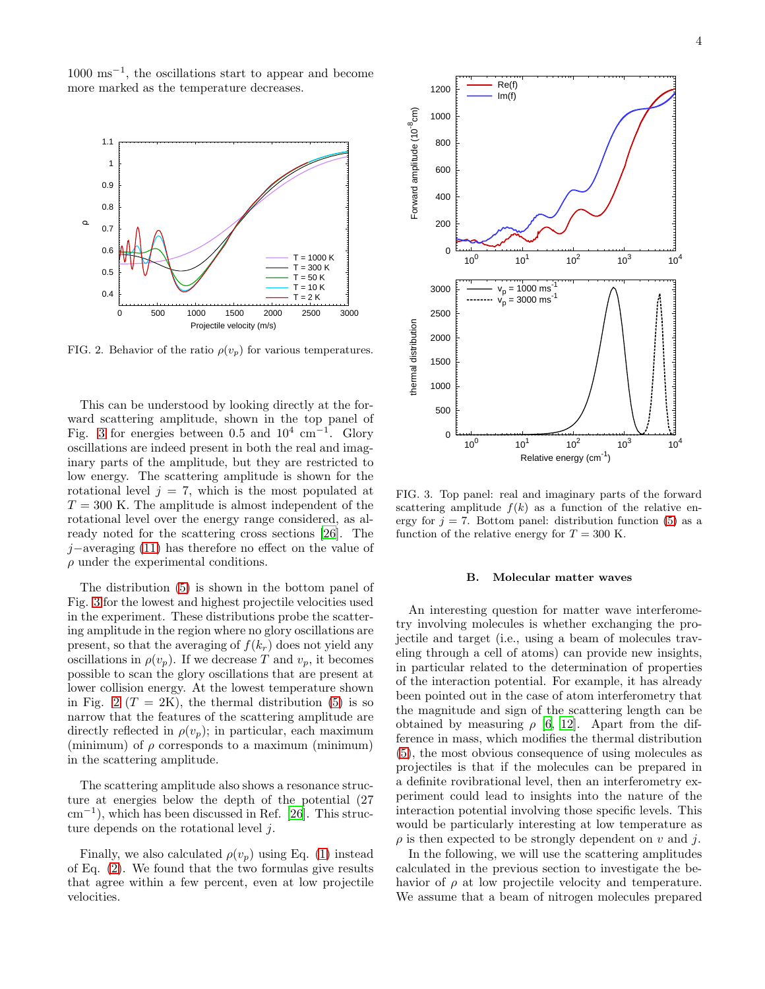1000 ms−<sup>1</sup> , the oscillations start to appear and become more marked as the temperature decreases.



<span id="page-3-0"></span>FIG. 2. Behavior of the ratio  $\rho(v_p)$  for various temperatures.

This can be understood by looking directly at the forward scattering amplitude, shown in the top panel of Fig. [3](#page-3-1) for energies between 0.5 and  $10^4$  cm<sup>-1</sup>. Glory oscillations are indeed present in both the real and imaginary parts of the amplitude, but they are restricted to low energy. The scattering amplitude is shown for the rotational level  $j = 7$ , which is the most populated at  $T = 300$  K. The amplitude is almost independent of the rotational level over the energy range considered, as already noted for the scattering cross sections [\[26\]](#page-5-19). The j−averaging [\(11\)](#page-2-2) has therefore no effect on the value of  $\rho$  under the experimental conditions.

The distribution [\(5\)](#page-1-3) is shown in the bottom panel of Fig. [3](#page-3-1) for the lowest and highest projectile velocities used in the experiment. These distributions probe the scattering amplitude in the region where no glory oscillations are present, so that the averaging of  $f(k_r)$  does not yield any oscillations in  $\rho(v_p)$ . If we decrease T and  $v_p$ , it becomes possible to scan the glory oscillations that are present at lower collision energy. At the lowest temperature shown in Fig. [2](#page-3-0)  $(T = 2K)$ , the thermal distribution [\(5\)](#page-1-3) is so narrow that the features of the scattering amplitude are directly reflected in  $\rho(v_p)$ ; in particular, each maximum (minimum) of  $\rho$  corresponds to a maximum (minimum) in the scattering amplitude.

The scattering amplitude also shows a resonance structure at energies below the depth of the potential (27 cm<sup>−</sup><sup>1</sup> ), which has been discussed in Ref. [\[26\]](#page-5-19). This structure depends on the rotational level j.

Finally, we also calculated  $\rho(v_p)$  using Eq. [\(1\)](#page-0-2) instead of Eq. [\(2\)](#page-0-3). We found that the two formulas give results that agree within a few percent, even at low projectile velocities.



<span id="page-3-1"></span>FIG. 3. Top panel: real and imaginary parts of the forward scattering amplitude  $f(k)$  as a function of the relative energy for  $j = 7$ . Bottom panel: distribution function [\(5\)](#page-1-3) as a function of the relative energy for  $T = 300$  K.

# B. Molecular matter waves

An interesting question for matter wave interferometry involving molecules is whether exchanging the projectile and target (i.e., using a beam of molecules traveling through a cell of atoms) can provide new insights, in particular related to the determination of properties of the interaction potential. For example, it has already been pointed out in the case of atom interferometry that the magnitude and sign of the scattering length can be obtained by measuring  $\rho$  [\[6,](#page-5-2) [12\]](#page-5-20). Apart from the difference in mass, which modifies the thermal distribution [\(5\)](#page-1-3), the most obvious consequence of using molecules as projectiles is that if the molecules can be prepared in a definite rovibrational level, then an interferometry experiment could lead to insights into the nature of the interaction potential involving those specific levels. This would be particularly interesting at low temperature as  $\rho$  is then expected to be strongly dependent on v and j.

In the following, we will use the scattering amplitudes calculated in the previous section to investigate the behavior of  $\rho$  at low projectile velocity and temperature. We assume that a beam of nitrogen molecules prepared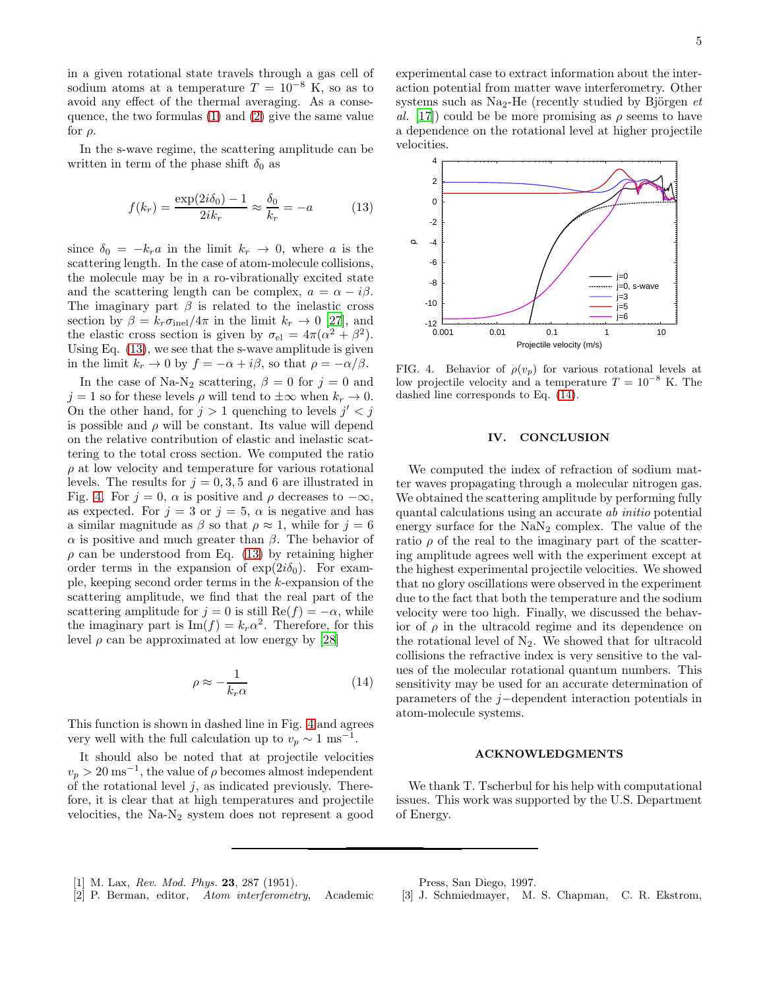in a given rotational state travels through a gas cell of sodium atoms at a temperature  $T = 10^{-8}$  K, so as to avoid any effect of the thermal averaging. As a consequence, the two formulas [\(1\)](#page-0-2) and [\(2\)](#page-0-3) give the same value for  $\rho$ .

In the s-wave regime, the scattering amplitude can be written in term of the phase shift  $\delta_0$  as

<span id="page-4-3"></span>
$$
f(k_r) = \frac{\exp(2i\delta_0) - 1}{2ik_r} \approx \frac{\delta_0}{k_r} = -a \tag{13}
$$

since  $\delta_0 = -k_r a$  in the limit  $k_r \to 0$ , where a is the scattering length. In the case of atom-molecule collisions, the molecule may be in a ro-vibrationally excited state and the scattering length can be complex,  $a = \alpha - i\beta$ . The imaginary part  $\beta$  is related to the inelastic cross section by  $\beta = k_r \sigma_{\text{inel}}/4\pi$  in the limit  $k_r \to 0$  [\[27\]](#page-5-21), and the elastic cross section is given by  $\sigma_{el} = 4\pi(\alpha^2 + \beta^2)$ . Using Eq. [\(13\)](#page-4-3), we see that the s-wave amplitude is given in the limit  $k_r \to 0$  by  $f = -\alpha + i\beta$ , so that  $\rho = -\alpha/\beta$ .

In the case of Na-N<sub>2</sub> scattering,  $\beta = 0$  for  $j = 0$  and  $j = 1$  so for these levels  $\rho$  will tend to  $\pm \infty$  when  $k_r \to 0$ . On the other hand, for  $j > 1$  quenching to levels  $j' < j$ is possible and  $\rho$  will be constant. Its value will depend on the relative contribution of elastic and inelastic scattering to the total cross section. We computed the ratio  $\rho$  at low velocity and temperature for various rotational levels. The results for  $j = 0, 3, 5$  and 6 are illustrated in Fig. [4.](#page-4-4) For  $j = 0$ ,  $\alpha$  is positive and  $\rho$  decreases to  $-\infty$ , as expected. For  $j = 3$  or  $j = 5$ ,  $\alpha$  is negative and has a similar magnitude as  $\beta$  so that  $\rho \approx 1$ , while for  $j = 6$  $\alpha$  is positive and much greater than  $\beta$ . The behavior of  $\rho$  can be understood from Eq. [\(13\)](#page-4-3) by retaining higher order terms in the expansion of  $\exp(2i\delta_0)$ . For example, keeping second order terms in the k-expansion of the scattering amplitude, we find that the real part of the scattering amplitude for  $j = 0$  is still  $\text{Re}(f) = -\alpha$ , while the imaginary part is  $\text{Im}(f) = k_r \alpha^2$ . Therefore, for this level  $\rho$  can be approximated at low energy by [\[28\]](#page-5-22)

<span id="page-4-5"></span>
$$
\rho \approx -\frac{1}{k_r \alpha} \tag{14}
$$

This function is shown in dashed line in Fig. [4](#page-4-4) and agrees very well with the full calculation up to  $v_p \sim 1 \text{ ms}^{-1}$ .

It should also be noted that at projectile velocities  $v_p > 20$  ms<sup>-1</sup>, the value of  $\rho$  becomes almost independent of the rotational level  $j$ , as indicated previously. Therefore, it is clear that at high temperatures and projectile velocities, the  $Na-N_2$  system does not represent a good experimental case to extract information about the interaction potential from matter wave interferometry. Other systems such as Na<sub>2</sub>-He (recently studied by Björgen  $et$ al. [\[17](#page-5-9)]) could be be more promising as  $\rho$  seems to have a dependence on the rotational level at higher projectile velocities.



<span id="page-4-4"></span>FIG. 4. Behavior of  $\rho(v_p)$  for various rotational levels at low projectile velocity and a temperature  $T = 10^{-8}$  K. The dashed line corresponds to Eq. [\(14\)](#page-4-5).

# IV. CONCLUSION

We computed the index of refraction of sodium matter waves propagating through a molecular nitrogen gas. We obtained the scattering amplitude by performing fully quantal calculations using an accurate ab initio potential energy surface for the  $\text{NaN}_2$  complex. The value of the ratio  $\rho$  of the real to the imaginary part of the scattering amplitude agrees well with the experiment except at the highest experimental projectile velocities. We showed that no glory oscillations were observed in the experiment due to the fact that both the temperature and the sodium velocity were too high. Finally, we discussed the behavior of  $\rho$  in the ultracold regime and its dependence on the rotational level of  $N_2$ . We showed that for ultracold collisions the refractive index is very sensitive to the values of the molecular rotational quantum numbers. This sensitivity may be used for an accurate determination of parameters of the j−dependent interaction potentials in atom-molecule systems.

### ACKNOWLEDGMENTS

We thank T. Tscherbul for his help with computational issues. This work was supported by the U.S. Department of Energy.

<span id="page-4-0"></span>[1] M. Lax, *Rev. Mod. Phys.* 23, 287 (1951).

Press, San Diego, 1997.

<span id="page-4-1"></span>[2] P. Berman, editor, *Atom interferometry*, Academic

<span id="page-4-2"></span>[3] J. Schmiedmayer, M. S. Chapman, C. R. Ekstrom,